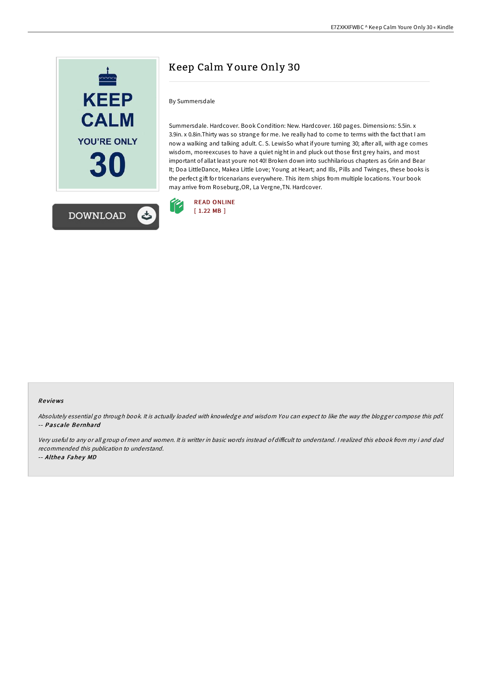

## Keep Calm Y oure Only 30

## By Summersdale

Summersdale. Hardcover. Book Condition: New. Hardcover. 160 pages. Dimensions: 5.5in. x 3.9in. x 0.8in.Thirty was so strange for me. Ive really had to come to terms with the fact that I am now a walking and talking adult. C. S. LewisSo what if youre turning 30; after all, with age comes wisdom, moreexcuses to have a quiet night in and pluck out those first grey hairs, and most important of allat least youre not 40! Broken down into suchhilarious chapters as Grin and Bear It; Doa LittleDance, Makea Little Love; Young at Heart; and Ills, Pills and Twinges, these books is the perfect gift for tricenarians everywhere. This item ships from multiple locations. Your book may arrive from Roseburg,OR, La Vergne,TN. Hardcover.



## Re views

Absolutely essential go through book. It is actually loaded with knowledge and wisdom You can expect to like the way the blogger compose this pdf. -- Pascale Bernhard

Very useful to any or all group of men and women. It is writter in basic words instead of difficult to understand. I realized this ebook from my i and dad recommended this publication to understand.

-- Althea Fahey MD